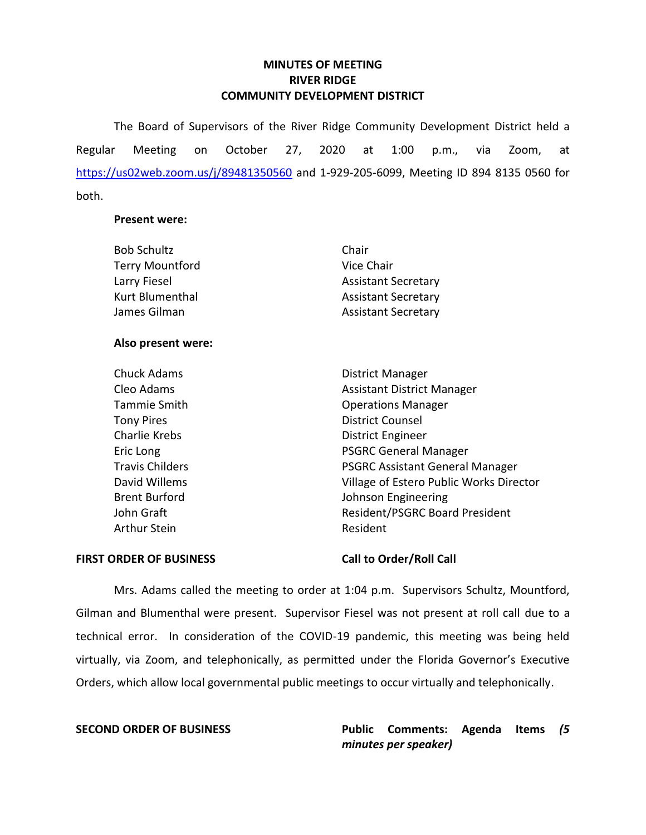# **MINUTES OF MEETING RIVER RIDGE COMMUNITY DEVELOPMENT DISTRICT**

 The Board of Supervisors of the River Ridge Community Development District held a at Regular Meeting on October 27, 2020 at 1:00 p.m., via Zoom, at <https://us02web.zoom.us/j/89481350560>and 1-929-205-6099, Meeting ID 894 8135 0560 for both.

## **Present were:**

| <b>Bob Schultz</b>     | Chair                      |
|------------------------|----------------------------|
| <b>Terry Mountford</b> | Vice Chair                 |
| Larry Fiesel           | <b>Assistant Secretary</b> |
| Kurt Blumenthal        | <b>Assistant Secretary</b> |
| James Gilman           | <b>Assistant Secretary</b> |

# **Also present were:**

| <b>Chuck Adams</b>     | District Manager                        |
|------------------------|-----------------------------------------|
| Cleo Adams             | <b>Assistant District Manager</b>       |
| Tammie Smith           | <b>Operations Manager</b>               |
| <b>Tony Pires</b>      | <b>District Counsel</b>                 |
| <b>Charlie Krebs</b>   | <b>District Engineer</b>                |
| Eric Long              | <b>PSGRC General Manager</b>            |
| <b>Travis Childers</b> | <b>PSGRC Assistant General Manager</b>  |
| David Willems          | Village of Estero Public Works Director |
| <b>Brent Burford</b>   | Johnson Engineering                     |
| John Graft             | <b>Resident/PSGRC Board President</b>   |
| Arthur Stein           | Resident                                |

### FIRST ORDER OF BUSINESS Call to Order/Roll Call

 Mrs. Adams called the meeting to order at 1:04 p.m. Supervisors Schultz, Mountford, Gilman and Blumenthal were present. Supervisor Fiesel was not present at roll call due to a technical error. In consideration of the COVID-19 pandemic, this meeting was being held virtually, via Zoom, and telephonically, as permitted under the Florida Governor's Executive Orders, which allow local governmental public meetings to occur virtually and telephonically.

 **SECOND ORDER OF BUSINESS Public Comments: Agenda Items** *(5 minutes per speaker)*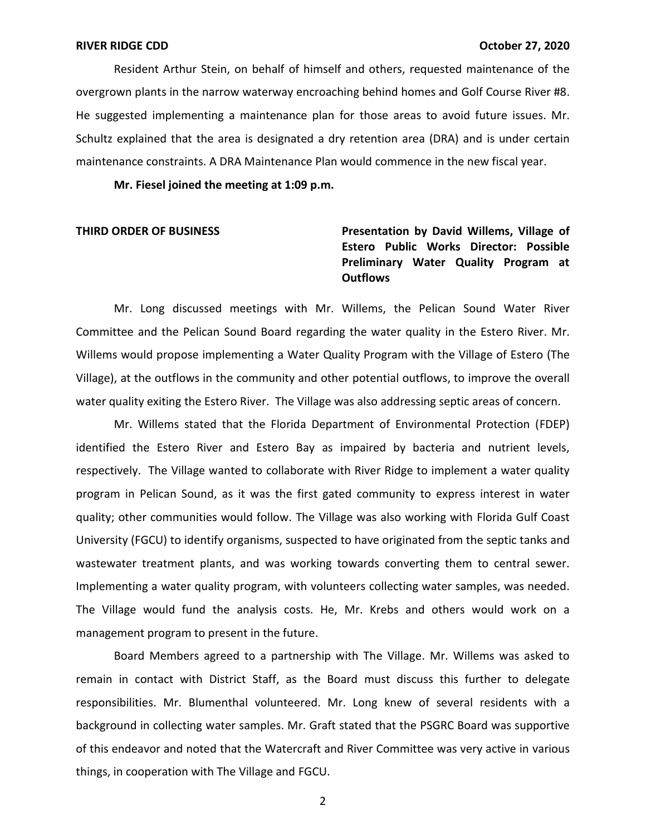Resident Arthur Stein, on behalf of himself and others, requested maintenance of the overgrown plants in the narrow waterway encroaching behind homes and Golf Course River #8. Schultz explained that the area is designated a dry retention area (DRA) and is under certain maintenance constraints. A DRA Maintenance Plan would commence in the new fiscal year. He suggested implementing a maintenance plan for those areas to avoid future issues. Mr.

 **Mr. Fiesel joined the meeting at 1:09 p.m.** 

# **THIRD ORDER OF BUSINESS Presentation by David Willems, Village of Estero Public Works Director: Possible Preliminary Water Quality Program at Outflows**

 Mr. Long discussed meetings with Mr. Willems, the Pelican Sound Water River Committee and the Pelican Sound Board regarding the water quality in the Estero River. Mr. Willems would propose implementing a Water Quality Program with the Village of Estero (The Village), at the outflows in the community and other potential outflows, to improve the overall water quality exiting the Estero River. The Village was also addressing septic areas of concern.

 Mr. Willems stated that the Florida Department of Environmental Protection (FDEP) identified the Estero River and Estero Bay as impaired by bacteria and nutrient levels, respectively. The Village wanted to collaborate with River Ridge to implement a water quality program in Pelican Sound, as it was the first gated community to express interest in water quality; other communities would follow. The Village was also working with Florida Gulf Coast University (FGCU) to identify organisms, suspected to have originated from the septic tanks and wastewater treatment plants, and was working towards converting them to central sewer. The Village would fund the analysis costs. He, Mr. Krebs and others would work on a management program to present in the future. Implementing a water quality program, with volunteers collecting water samples, was needed.

 Board Members agreed to a partnership with The Village. Mr. Willems was asked to remain in contact with District Staff, as the Board must discuss this further to delegate background in collecting water samples. Mr. Graft stated that the PSGRC Board was supportive of this endeavor and noted that the Watercraft and River Committee was very active in various things, in cooperation with The Village and FGCU. responsibilities. Mr. Blumenthal volunteered. Mr. Long knew of several residents with a

2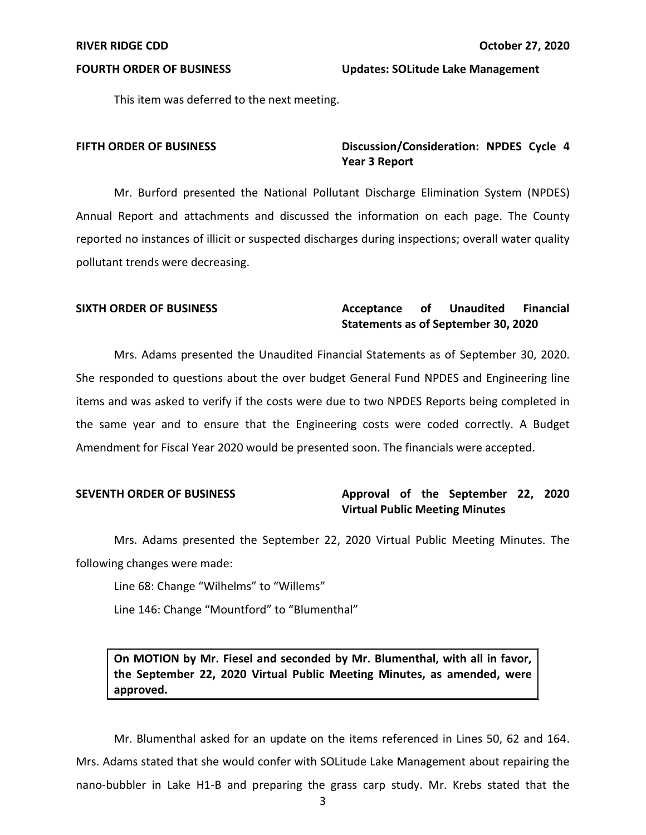**FOURTH ORDER OF BUSINESS** Updates: SOLitude Lake Management

This item was deferred to the next meeting.

# **FIFTH ORDER OF BUSINESS** Discussion/Consideration: NPDES Cycle 4 **Year 3 Report**

 Mr. Burford presented the National Pollutant Discharge Elimination System (NPDES) Annual Report and attachments and discussed the information on each page. The County reported no instances of illicit or suspected discharges during inspections; overall water quality pollutant trends were decreasing.

### Acceptance of  **Statements as of September 30, 2020**  SIXTH ORDER OF BUSINESS **Acceptance** of Unaudited Financial

 She responded to questions about the over budget General Fund NPDES and Engineering line the same year and to ensure that the Engineering costs were coded correctly. A Budget Amendment for Fiscal Year 2020 would be presented soon. The financials were accepted. Mrs. Adams presented the Unaudited Financial Statements as of September 30, 2020. items and was asked to verify if the costs were due to two NPDES Reports being completed in

# **SEVENTH ORDER OF BUSINESS Approval of the September 22, 2020 Virtual Public Meeting Minutes**

Mrs. Adams presented the September 22, 2020 Virtual Public Meeting Minutes. The following changes were made:

Line 68: Change "Wilhelms" to "Willems"

Line 146: Change "Mountford" to "Blumenthal"

 **On MOTION by Mr. Fiesel and seconded by Mr. Blumenthal, with all in favor, the September 22, 2020 Virtual Public Meeting Minutes, as amended, were approved.** 

 Mr. Blumenthal asked for an update on the items referenced in Lines 50, 62 and 164. Mrs. Adams stated that she would confer with SOLitude Lake Management about repairing the nano-bubbler in Lake H1-B and preparing the grass carp study. Mr. Krebs stated that the

3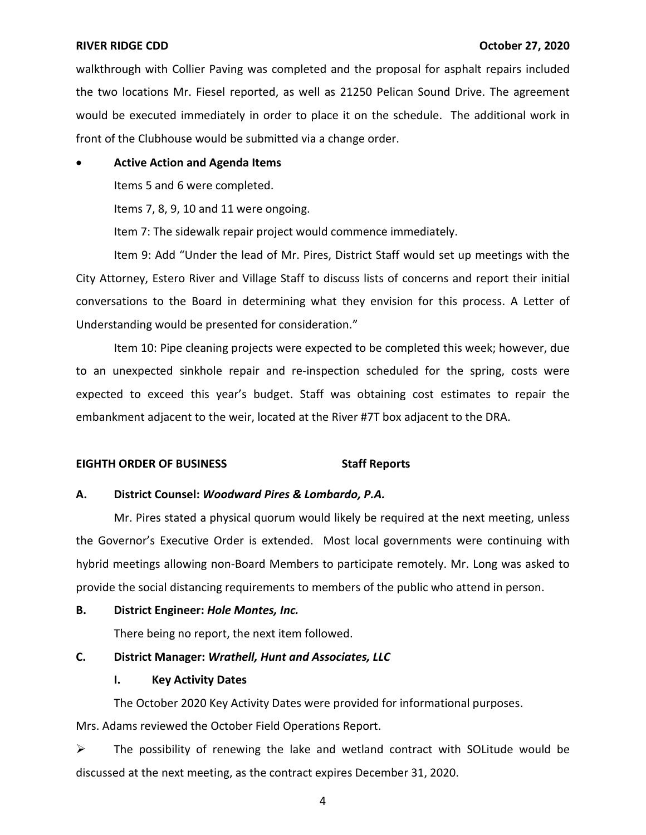walkthrough with Collier Paving was completed and the proposal for asphalt repairs included the two locations Mr. Fiesel reported, as well as 21250 Pelican Sound Drive. The agreement would be executed immediately in order to place it on the schedule. The additional work in front of the Clubhouse would be submitted via a change order.

# • **Active Action and Agenda Items**

Items 5 and 6 were completed.

Items 7, 8, 9, 10 and 11 were ongoing.

Item 7: The sidewalk repair project would commence immediately.

 Item 9: Add "Under the lead of Mr. Pires, District Staff would set up meetings with the City Attorney, Estero River and Village Staff to discuss lists of concerns and report their initial conversations to the Board in determining what they envision for this process. A Letter of Understanding would be presented for consideration."

 expected to exceed this year's budget. Staff was obtaining cost estimates to repair the embankment adjacent to the weir, located at the River #7T box adjacent to the DRA. Item 10: Pipe cleaning projects were expected to be completed this week; however, due to an unexpected sinkhole repair and re-inspection scheduled for the spring, costs were

# **EIGHTH ORDER OF BUSINESS Staff Reports**

# **A. District Counsel:** *Woodward Pires & Lombardo, P.A.*

 Mr. Pires stated a physical quorum would likely be required at the next meeting, unless hybrid meetings allowing non-Board Members to participate remotely. Mr. Long was asked to the Governor's Executive Order is extended. Most local governments were continuing with provide the social distancing requirements to members of the public who attend in person.

# **B. District Engineer:** *Hole Montes, Inc.*

There being no report, the next item followed.

# **C. District Manager:** *Wrathell, Hunt and Associates, LLC*

# **I. Key Activity Dates**

The October 2020 Key Activity Dates were provided for informational purposes.

Mrs. Adams reviewed the October Field Operations Report.

 $\triangleright$  The possibility of renewing the lake and wetland contract with SOLitude would be discussed at the next meeting, as the contract expires December 31, 2020.

4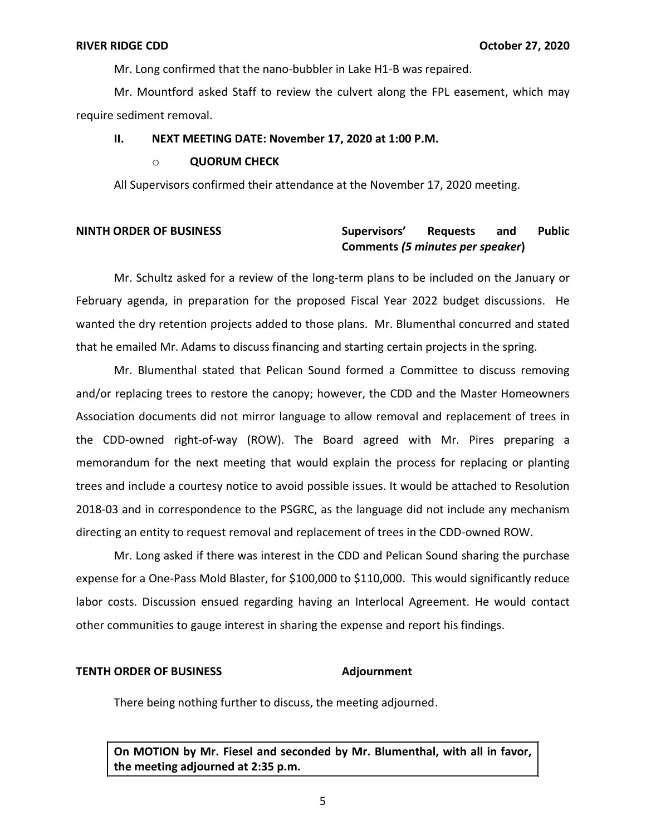Mr. Long confirmed that the nano-bubbler in Lake H1-B was repaired.

Mr. Mountford asked Staff to review the culvert along the FPL easement, which may require sediment removal.

# **II. NEXT MEETING DATE: November 17, 2020 at 1:00 P.M.**

## o **QUORUM CHECK**

All Supervisors confirmed their attendance at the November 17, 2020 meeting.

### and  **Comments** *(5 minutes per speaker***) NINTH ORDER OF BUSINESS Supervisors' Requests and Public**

 Mr. Schultz asked for a review of the long-term plans to be included on the January or February agenda, in preparation for the proposed Fiscal Year 2022 budget discussions. He wanted the dry retention projects added to those plans. Mr. Blumenthal concurred and stated that he emailed Mr. Adams to discuss financing and starting certain projects in the spring.

 Mr. Blumenthal stated that Pelican Sound formed a Committee to discuss removing and/or replacing trees to restore the canopy; however, the CDD and the Master Homeowners Association documents did not mirror language to allow removal and replacement of trees in the CDD-owned right-of-way (ROW). The Board agreed with Mr. Pires preparing a trees and include a courtesy notice to avoid possible issues. It would be attached to Resolution 2018-03 and in correspondence to the PSGRC, as the language did not include any mechanism directing an entity to request removal and replacement of trees in the CDD-owned ROW. memorandum for the next meeting that would explain the process for replacing or planting

 Mr. Long asked if there was interest in the CDD and Pelican Sound sharing the purchase expense for a One-Pass Mold Blaster, for \$100,000 to \$110,000. This would significantly reduce labor costs. Discussion ensued regarding having an Interlocal Agreement. He would contact other communities to gauge interest in sharing the expense and report his findings.

### **TENTH ORDER OF BUSINESS Adjournment**

There being nothing further to discuss, the meeting adjourned.

 **On MOTION by Mr. Fiesel and seconded by Mr. Blumenthal, with all in favor, the meeting adjourned at 2:35 p.m.**